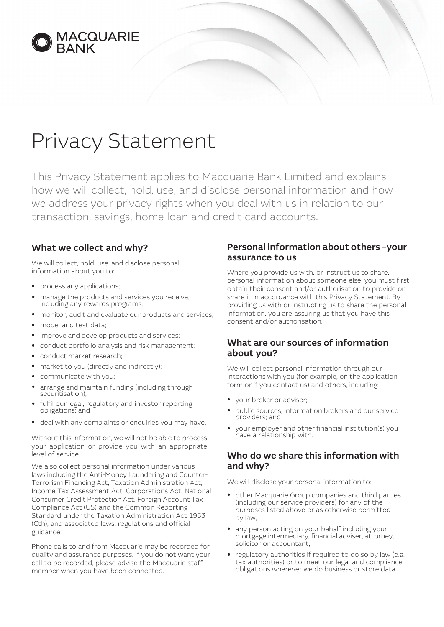

# Privacy Statement

This Privacy Statement applies to Macquarie Bank Limited and explains how we will collect, hold, use, and disclose personal information and how we address your privacy rights when you deal with us in relation to our transaction, savings, home loan and credit card accounts.

### What we collect and why?

We will collect, hold, use, and disclose personal information about you to:

- process any applications;
- manage the products and services you receive, including any rewards programs;
- monitor, audit and evaluate our products and services;
- model and test data:
- improve and develop products and services;
- conduct portfolio analysis and risk management;
- conduct market research;
- market to you (directly and indirectly);
- communicate with you;
- arrange and maintain funding (including through securitisation);
- fulfil our legal, regulatory and investor reporting obligations; and
- deal with any complaints or enquiries you may have.

Without this information, we will not be able to process your application or provide you with an appropriate level of service.

We also collect personal information under various laws including the Anti-Money Laundering and Counter-Terrorism Financing Act, Taxation Administration Act, Income Tax Assessment Act, Corporations Act, National Consumer Credit Protection Act, Foreign Account Tax Compliance Act (US) and the Common Reporting Standard under the Taxation Administration Act 1953 (Cth), and associated laws, regulations and official guidance.

Phone calls to and from Macquarie may be recorded for quality and assurance purposes. If you do not want your call to be recorded, please advise the Macquarie staff member when you have been connected.

#### Personal information about others – your assurance to us

Where you provide us with, or instruct us to share, personal information about someone else, you must first obtain their consent and/or authorisation to provide or share it in accordance with this Privacy Statement. By providing us with or instructing us to share the personal information, you are assuring us that you have this consent and/or authorisation.

#### What are our sources of information about you?

We will collect personal information through our interactions with you (for example, on the application form or if you contact us) and others, including:

- your broker or adviser;
- public sources, information brokers and our service providers; and
- your employer and other financial institution(s) you have a relationship with.

#### Who do we share this information with and why?

We will disclose your personal information to:

- other Macquarie Group companies and third parties (including our service providers) for any of the purposes listed above or as otherwise permitted by law;
- any person acting on your behalf including your mortgage intermediary, financial adviser, attorney, solicitor or accountant;
- regulatory authorities if required to do so by law (e.g. tax authorities) or to meet our legal and compliance obligations wherever we do business or store data.